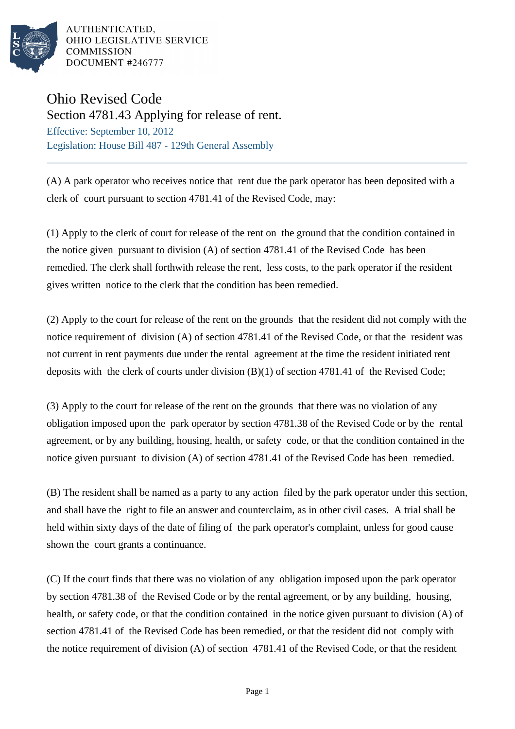

AUTHENTICATED. OHIO LEGISLATIVE SERVICE **COMMISSION** DOCUMENT #246777

## Ohio Revised Code

Section 4781.43 Applying for release of rent. Effective: September 10, 2012

Legislation: House Bill 487 - 129th General Assembly

(A) A park operator who receives notice that rent due the park operator has been deposited with a clerk of court pursuant to section 4781.41 of the Revised Code, may:

(1) Apply to the clerk of court for release of the rent on the ground that the condition contained in the notice given pursuant to division (A) of section 4781.41 of the Revised Code has been remedied. The clerk shall forthwith release the rent, less costs, to the park operator if the resident gives written notice to the clerk that the condition has been remedied.

(2) Apply to the court for release of the rent on the grounds that the resident did not comply with the notice requirement of division (A) of section 4781.41 of the Revised Code, or that the resident was not current in rent payments due under the rental agreement at the time the resident initiated rent deposits with the clerk of courts under division (B)(1) of section 4781.41 of the Revised Code;

(3) Apply to the court for release of the rent on the grounds that there was no violation of any obligation imposed upon the park operator by section 4781.38 of the Revised Code or by the rental agreement, or by any building, housing, health, or safety code, or that the condition contained in the notice given pursuant to division (A) of section 4781.41 of the Revised Code has been remedied.

(B) The resident shall be named as a party to any action filed by the park operator under this section, and shall have the right to file an answer and counterclaim, as in other civil cases. A trial shall be held within sixty days of the date of filing of the park operator's complaint, unless for good cause shown the court grants a continuance.

(C) If the court finds that there was no violation of any obligation imposed upon the park operator by section 4781.38 of the Revised Code or by the rental agreement, or by any building, housing, health, or safety code, or that the condition contained in the notice given pursuant to division (A) of section 4781.41 of the Revised Code has been remedied, or that the resident did not comply with the notice requirement of division (A) of section 4781.41 of the Revised Code, or that the resident